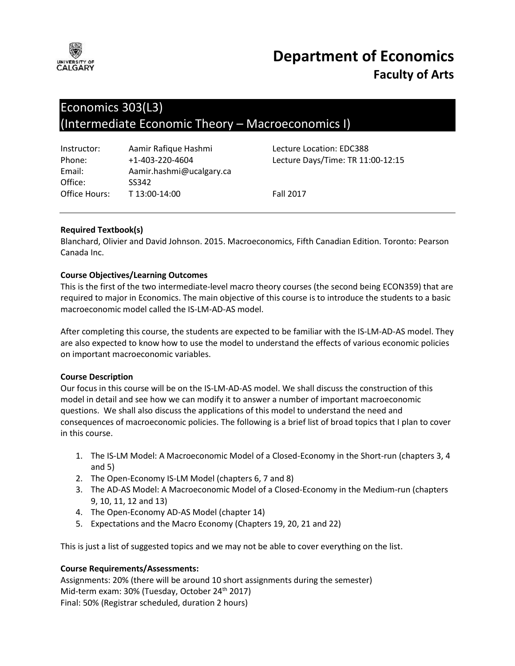

# **Department of Economics Faculty of Arts**

## Economics 303(L3) (Intermediate Economic Theory – Macroeconomics I)

| Instructor:   | Aamir Rafique Hashmi     |
|---------------|--------------------------|
| Phone:        | $+1 - 403 - 220 - 4604$  |
| Email:        | Aamir.hashmi@ucalgary.ca |
| Office:       | SS342                    |
| Office Hours: | T 13:00-14:00            |

Lecture Location: EDC388 Lecture Days/Time: TR 11:00-12:15

Fall 2017

## **Required Textbook(s)**

Blanchard, Olivier and David Johnson. 2015. Macroeconomics, Fifth Canadian Edition. Toronto: Pearson Canada Inc.

## **Course Objectives/Learning Outcomes**

This is the first of the two intermediate-level macro theory courses (the second being ECON359) that are required to major in Economics. The main objective of this course is to introduce the students to a basic macroeconomic model called the IS-LM-AD-AS model.

After completing this course, the students are expected to be familiar with the IS-LM-AD-AS model. They are also expected to know how to use the model to understand the effects of various economic policies on important macroeconomic variables.

#### **Course Description**

Our focus in this course will be on the IS-LM-AD-AS model. We shall discuss the construction of this model in detail and see how we can modify it to answer a number of important macroeconomic questions. We shall also discuss the applications of this model to understand the need and consequences of macroeconomic policies. The following is a brief list of broad topics that I plan to cover in this course.

- 1. The IS-LM Model: A Macroeconomic Model of a Closed-Economy in the Short-run (chapters 3, 4 and 5)
- 2. The Open-Economy IS-LM Model (chapters 6, 7 and 8)
- 3. The AD-AS Model: A Macroeconomic Model of a Closed-Economy in the Medium-run (chapters 9, 10, 11, 12 and 13)
- 4. The Open-Economy AD-AS Model (chapter 14)
- 5. Expectations and the Macro Economy (Chapters 19, 20, 21 and 22)

This is just a list of suggested topics and we may not be able to cover everything on the list.

#### **Course Requirements/Assessments:**

Assignments: 20% (there will be around 10 short assignments during the semester) Mid-term exam: 30% (Tuesday, October 24<sup>th</sup> 2017) Final: 50% (Registrar scheduled, duration 2 hours)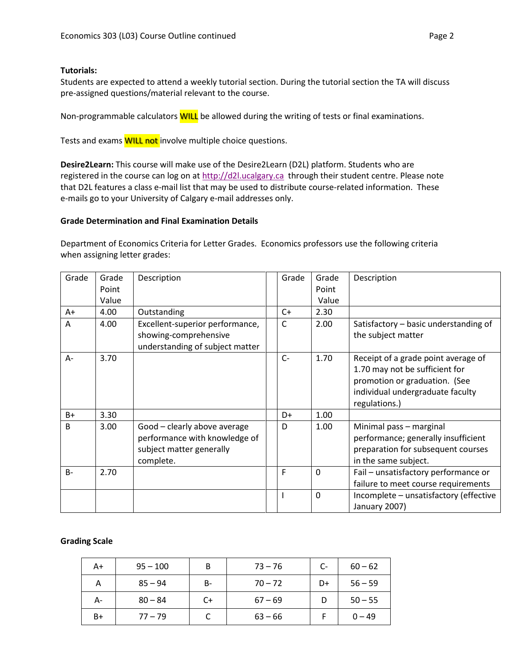#### **Tutorials:**

Students are expected to attend a weekly tutorial section. During the tutorial section the TA will discuss pre-assigned questions/material relevant to the course.

Non-programmable calculators **WILL** be allowed during the writing of tests or final examinations.

Tests and exams **WILL not** involve multiple choice questions.

**Desire2Learn:** This course will make use of the Desire2Learn (D2L) platform. Students who are registered in the course can log on at [http://d2l.ucalgary.ca](http://d2l.ucalgary.ca/) through their student centre. Please note that D2L features a class e-mail list that may be used to distribute course-related information. These e-mails go to your University of Calgary e-mail addresses only.

#### **Grade Determination and Final Examination Details**

Department of Economics Criteria for Letter Grades. Economics professors use the following criteria when assigning letter grades:

| Grade        | Grade<br>Point<br>Value | Description                                                                                            | Grade        | Grade<br>Point<br>Value | Description                                                                                                                                                 |
|--------------|-------------------------|--------------------------------------------------------------------------------------------------------|--------------|-------------------------|-------------------------------------------------------------------------------------------------------------------------------------------------------------|
| A+           | 4.00                    | Outstanding                                                                                            | $C+$         | 2.30                    |                                                                                                                                                             |
| A            | 4.00                    | Excellent-superior performance,<br>showing-comprehensive<br>understanding of subject matter            | C            | 2.00                    | Satisfactory - basic understanding of<br>the subject matter                                                                                                 |
| A-           | 3.70                    |                                                                                                        | $C-$         | 1.70                    | Receipt of a grade point average of<br>1.70 may not be sufficient for<br>promotion or graduation. (See<br>individual undergraduate faculty<br>regulations.) |
| B+           | 3.30                    |                                                                                                        | D+           | 1.00                    |                                                                                                                                                             |
| <sub>B</sub> | 3.00                    | Good - clearly above average<br>performance with knowledge of<br>subject matter generally<br>complete. | D            | 1.00                    | Minimal pass - marginal<br>performance; generally insufficient<br>preparation for subsequent courses<br>in the same subject.                                |
| $B -$        | 2.70                    |                                                                                                        | F            | $\mathbf 0$             | Fail - unsatisfactory performance or<br>failure to meet course requirements                                                                                 |
|              |                         |                                                                                                        | $\mathbf{I}$ | $\Omega$                | Incomplete - unsatisfactory (effective<br>January 2007)                                                                                                     |

#### **Grading Scale**

| A+   | $95 - 100$ | B  | $73 - 76$ | C- | $60 - 62$ |
|------|------------|----|-----------|----|-----------|
| А    | $85 - 94$  | B- | $70 - 72$ | D+ | $56 - 59$ |
| А-   | $80 - 84$  | C+ | $67 - 69$ |    | $50 - 55$ |
| $B+$ | $77 - 79$  |    | $63 - 66$ |    | $0 - 49$  |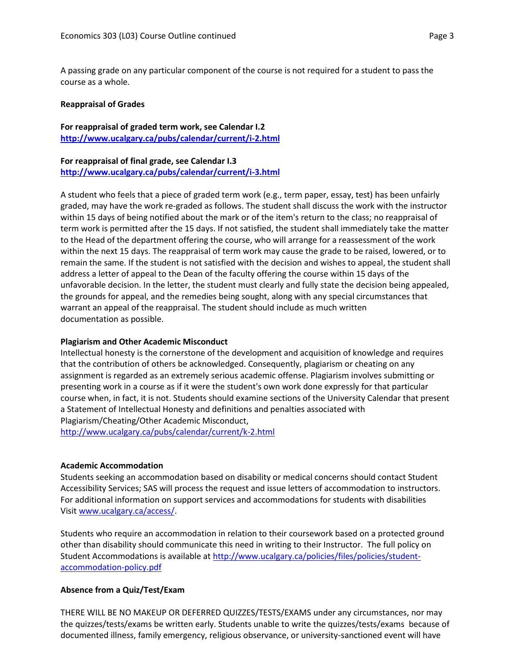A passing grade on any particular component of the course is not required for a student to pass the course as a whole.

#### **Reappraisal of Grades**

**For reappraisal of graded term work, see Calendar I.2 <http://www.ucalgary.ca/pubs/calendar/current/i-2.html>**

#### **For reappraisal of final grade, see Calendar I.3 <http://www.ucalgary.ca/pubs/calendar/current/i-3.html>**

A student who feels that a piece of graded term work (e.g., term paper, essay, test) has been unfairly graded, may have the work re-graded as follows. The student shall discuss the work with the instructor within 15 days of being notified about the mark or of the item's return to the class; no reappraisal of term work is permitted after the 15 days. If not satisfied, the student shall immediately take the matter to the Head of the department offering the course, who will arrange for a reassessment of the work within the next 15 days. The reappraisal of term work may cause the grade to be raised, lowered, or to remain the same. If the student is not satisfied with the decision and wishes to appeal, the student shall address a letter of appeal to the Dean of the faculty offering the course within 15 days of the unfavorable decision. In the letter, the student must clearly and fully state the decision being appealed, the grounds for appeal, and the remedies being sought, along with any special circumstances that warrant an appeal of the reappraisal. The student should include as much written documentation as possible.

#### **Plagiarism and Other Academic Misconduct**

Intellectual honesty is the cornerstone of the development and acquisition of knowledge and requires that the contribution of others be acknowledged. Consequently, plagiarism or cheating on any assignment is regarded as an extremely serious academic offense. Plagiarism involves submitting or presenting work in a course as if it were the student's own work done expressly for that particular course when, in fact, it is not. Students should examine sections of the University Calendar that present a Statement of Intellectual Honesty and definitions and penalties associated with Plagiarism/Cheating/Other Academic Misconduct, <http://www.ucalgary.ca/pubs/calendar/current/k-2.html>

#### **Academic Accommodation**

Students seeking an accommodation based on disability or medical concerns should contact Student Accessibility Services; SAS will process the request and issue letters of accommodation to instructors. For additional information on support services and accommodations for students with disabilities Visit [www.ucalgary.ca/access/.](http://www.ucalgary.ca/access/)

Students who require an accommodation in relation to their coursework based on a protected ground other than disability should communicate this need in writing to their Instructor. The full policy on Student Accommodations is available at [http://www.ucalgary.ca/policies/files/policies/student](http://www.ucalgary.ca/policies/files/policies/student-accommodation-policy.pdf)[accommodation-policy.pdf](http://www.ucalgary.ca/policies/files/policies/student-accommodation-policy.pdf)

#### **Absence from a Quiz/Test/Exam**

THERE WILL BE NO MAKEUP OR DEFERRED QUIZZES/TESTS/EXAMS under any circumstances, nor may the quizzes/tests/exams be written early. Students unable to write the quizzes/tests/exams because of documented illness, family emergency, religious observance, or university-sanctioned event will have